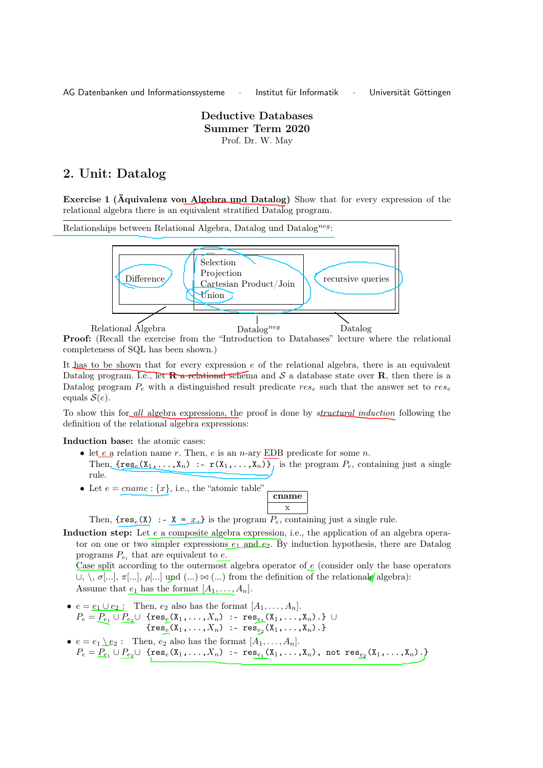AG Datenbanken und Informationssysteme · Institut für Informatik · Universität Göttingen

## Deductive Databases Summer Term 2020 Prof. Dr. W. May

## 2. Unit: Datalog

Exercise 1 (Äquivalenz von Algebra und Datalog) Show that for every expression of the relational algebra there is an equivalent stratified Datalog program.

Relationships between Relational Algebra, Datalog und Datalog<sup>neg</sup>:



Proof: (Recall the exercise from the "Introduction to Databases" lecture where the relational completeness of SQL has been shown.)

It has to be shown that for every expression  $e$  of the relational algebra, there is an equivalent Datalog program. I.e., let  $\mathbf{R}$  a relational schema and S a database state over  $\mathbf{R}$ , then there is a Datalog program  $P_e$  with a distinguished result predicate  $res_e$  such that the answer set to  $res_e$ equals  $S(e)$ .

To show this for all algebra expressions, the proof is done by *structural induction* following the definition of the relational algebra expressions:

Induction base: the atomic cases:

- let  $e$  a relation name r. Then,  $e$  is an n-ary EDB predicate for some n. Then,  $\{res_e(X_1,\ldots,X_n) :$   $r(X_1,\ldots,X_n)$ , is the program  $P_e$ , containing just a single rule.
- Let  $e = \text{cname} : \{x\}$ , i.e., the "atomic table"

$$
\begin{array}{|}\n\hline\n\text{name} \\
x\n\end{array}
$$

Then,  ${\rm \{res}_e(X) \ \text{:-} \ \text{X} = x. }$  is the program  $P_e$ , containing just a single rule.

Induction step: Let  $e$  a composite algebra expression, i.e., the application of an algebra operator on one or two simpler expressions  $e_1$  and  $e_2$ . By induction hypothesis, there are Datalog programs  $P_{e_i}$  that are equivalent to  $e$ .

Case split according to the outermost algebra operator of  $e$  (consider only the base operators  $\cup, \setminus, \sigma[...], \pi[...], \rho[...]$  und  $(...) \bowtie$  (...) from the definition of the relationale algebra): Assume that  $e_1$  has the format  $[A_1, \ldots, A_n]$ .

•  $e = e_1 \cup e_2$ : Then,  $e_2$  also has the format  $[A_1, \ldots, A_n]$ .  $P_e = \underline{P}_{e_1} \cup \underline{P}_{e_2} \cup$  {res $_e(\texttt{X}_1, \ldots, \texttt{X}_n)$  :- res $_{e_1}(\texttt{X}_1, \ldots, \texttt{X}_n)$ .} ∪  ${ \{ \operatorname{res}_e(\mathtt{X}_1,\ldots,\mathtt{X}_n) \; : \; - \operatorname{res}_{e_2}(\mathtt{X}_1,\ldots,\mathtt{X}_n) \}. }$ •  $e = e_1 \underline{\setminus} e_2$ : Then,  $e_2$  also has the format  $[A_1, \ldots, A_n]$ .  $P_e = \underline{P}_{e_1} \cup \underline{P}_{e_2} \cup \{ \text{res}_e(\text{X}_1,\ldots,\text{X}_n) : \text{res}_{e_1}(\text{X}_1,\ldots,\text{X}_n), \text{ not } \text{res}_{e_2}(\text{X}_1,\ldots,\text{X}_n) \}.$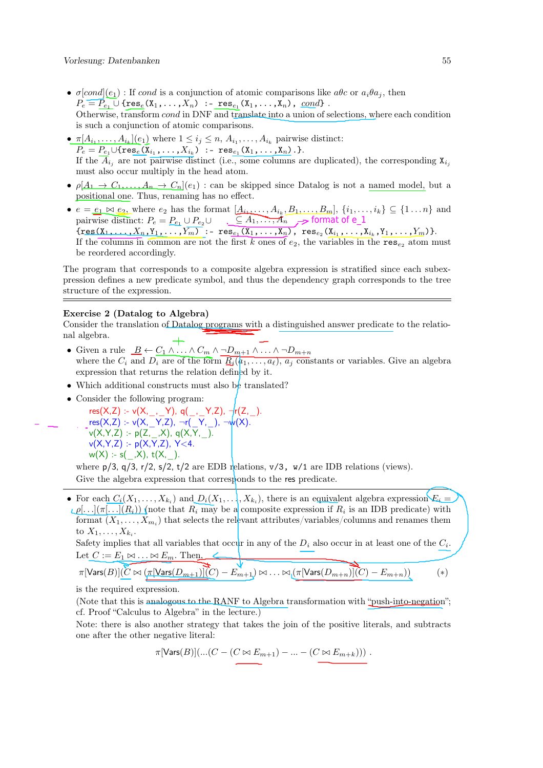- $\sigma[cond](e_1)$ : If cond is a conjunction of atomic comparisons like  $abc$  or  $a_i\theta a_j$ , then  $P_e = P_{e_1} \cup {\text{res}_e(X_1,\ldots,X_n)}$  :-  $\text{res}_{e_1}(X_1,\ldots,X_n)$ ,  $cond\}$ . Otherwise, transform cond in DNF and translate into a union of selections, where each condition is such a conjunction of atomic comparisons.
- $\pi[A_{i_1}, \ldots, A_{i_k}](e_1)$  where  $1 \leq i_j \leq n, A_{i_1}, \ldots, A_{i_k}$  pairwise distinct:  $P_e = P_{e_1} \cup {\{ \text{res}_e(\textbf{X}_{i_1}, \ldots, \textbf{X}_{i_k}) \; : \; -\;\text{res}_{e_1}(\textbf{X}_{1}, \ldots, \textbf{X}_{n}) \}. }$ If the  $\overline{A}_{i_j}$  are not pairwise distinct (i.e., some columns are duplicated), the corresponding  $X_{i_j}$ must also occur multiply in the head atom.
- $\rho[A_1 \to C_1, \ldots, A_n \to C_n](e_1)$ : can be skipped since Datalog is not a named model, but a positional one. Thus, renaming has no effect.
- $e = \underline{e_1 \bowtie e_2}$ , where  $e_2$  has the format  $[\underline{A_{i_1}, \ldots, A_{i_k}, B_1, \ldots, B_m}]$ ,  $\{i_1, \ldots, i_k\} \subseteq \{1 \ldots n\}$  and pairwise distinct:  $P_e = P_{e_1} \cup P_{e_2} \cup$  $\{\texttt{res}(\texttt{X}_1,\ldots,\texttt{X}_n,\texttt{Y}_1,\ldots,\texttt{Y}_m)$  :-  $\texttt{res}_{e_1}(\texttt{X}_1,\ldots,\texttt{X}_n)$ ,  $\texttt{res}_{e_2}(\texttt{X}_{i_1},\ldots,\texttt{X}_{i_k},\texttt{Y}_1,\ldots,\texttt{Y}_m)\}.$ If the columns in common are not the first k ones of  $e_2$ , the variables in the  $res_{e_2}$  atom must be reordered accordingly.  $\subseteq A_1, \dots, A_n \quad \text{format of e\_1}$

The program that corresponds to a composite algebra expression is stratified since each subexpression defines a new predicate symbol, and thus the dependency graph corresponds to the tree structure of the expression.

## Exercise 2 (Datalog to Algebra)

Consider the translation of Datalog programs with a distinguished answer predicate to the relational algebra.

- Given a rule  $\underline{B} \leftarrow C_1 \wedge \ldots \wedge C_m \wedge \neg D_{m+1} \wedge \ldots \wedge \neg D_{m+n}$ where the  $C_i$  and  $D_i$  are of the form  $R_i(\overline{a_1,\ldots,a_\ell}), a_j$  constants or variables. Give an algebra expression that returns the relation defined by it.
- Which additional constructs must also be translated?
- Consider the following program:
	- res(X,Z) :- v(X,\_,\_Y), q(\_,\_Y,Z), ¬r(Z,\_). res(X,Z) :- v(X,\_Y,Z), ¬r(\_Y,\_), ¬w(X).  $v(X,Y,Z) - p(Z_{,-}X), q(X,Y,-).$  $v(X,Y,Z) = p(X,Y,Z), Y < 4.$  $w(X) = s(-,X), t(X,-).$

where  $p/3$ ,  $q/3$ ,  $r/2$ ,  $s/2$ ,  $t/2$  are EDB relations,  $v/3$ ,  $w/1$  are IDB relations (views). Give the algebra expression that corresponds to the res predicate.

• For each  $C_i(X_1,\ldots,X_k)$  and  $D_i(X_1,\ldots,X_k)$ , there is an equivalent algebra expression  $E_i$  $\mathcal{L}[\rho]$ ... $|\pi|$ ... $|\overline{(R_i)}|$  (note that  $R_i$  may be a composite expression if  $R_i$  is an IDB predicate) with format  $(X_1, \ldots, X_{m_i})$  that selects the relevant attributes/variables/columns and renames them to  $X_1, \ldots, X_{k_i}$ .

Safety implies that all variables that occur in any of the  $D_i$  also occur in at least one of the  $C_i$ . Let  $C := E_1 \bowtie \ldots \bowtie E_m$ . Then,

 $\pi$ [Vars $(B)$ ] $(C \bowtie (\pi[\text{Vars}(D_{m+1})](C) - E_{m+1}) \bowtie \ldots \bowtie [\pi[\text{Vars}(D_{m+n})](C) - E_{m+n}))$  (\*)

is the required expression.

(Note that this is analogous to the RANF to Algebra transformation with "push-into-negation"; cf. Proof "Calculus to Algebra" in the lecture.)

Note: there is also another strategy that takes the join of the positive literals, and subtracts one after the other negative literal:

$$
\pi[\mathsf{Vars}(B)](\ldots(C-(C\bowtie E_{m+1})-\ldots-(C\bowtie E_{m+k})))\;.
$$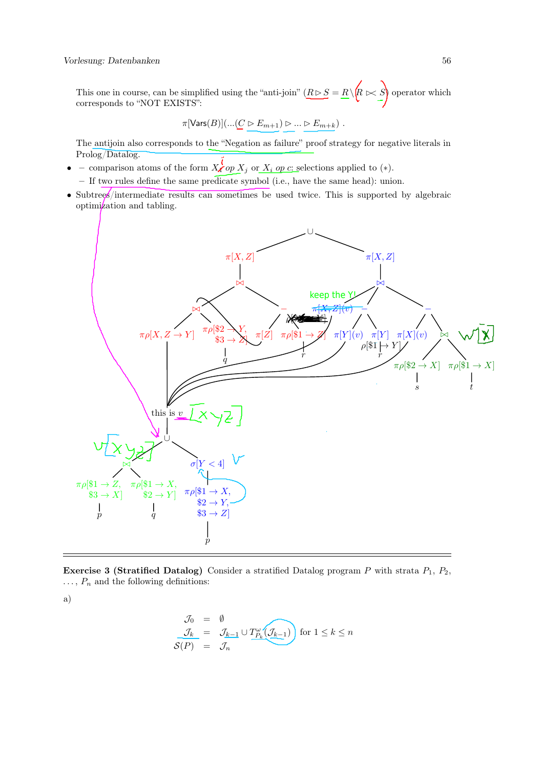This one in course, can be simplified using the "anti-join"  $(R \triangleright S = R \setminus R \bowtie S)$  operator which corresponds to "NOT EXISTS":

$$
\pi[\mathsf{Vars}(B)](\ldots(\underline{C}\vartriangleright E_{m+1})\vartriangleright\ldots\vartriangleright E_{m+k})\ .
$$

The antijoin also corresponds to the "Negation as failure" proof strategy for negative literals in Prolog/Datalog.

- – comparison atoms of the form  $X_i$  op  $X_j$  or  $X_i$  op c: selections applied to (\*).
	- If two rules define the same predicate symbol (i.e., have the same head): union.
- Subtrees/intermediate results can sometimes be used twice. This is supported by algebraic optimization and tabling.



**Exercise 3 (Stratified Datalog)** Consider a stratified Datalog program  $P$  with strata  $P_1$ ,  $P_2$ ,  $\ldots$ ,  $P_n$  and the following definitions:

a)

$$
\begin{array}{rcl}\n\mathcal{J}_0 &=& \emptyset \\
\frac{\mathcal{J}_k}{\mathcal{S}(P)} &=& \mathcal{J}_{k-1} \cup T_{P_k}^{\omega}(\mathcal{J}_{k-1}) \text{ for } 1 \leq k \leq n \\
\end{array}
$$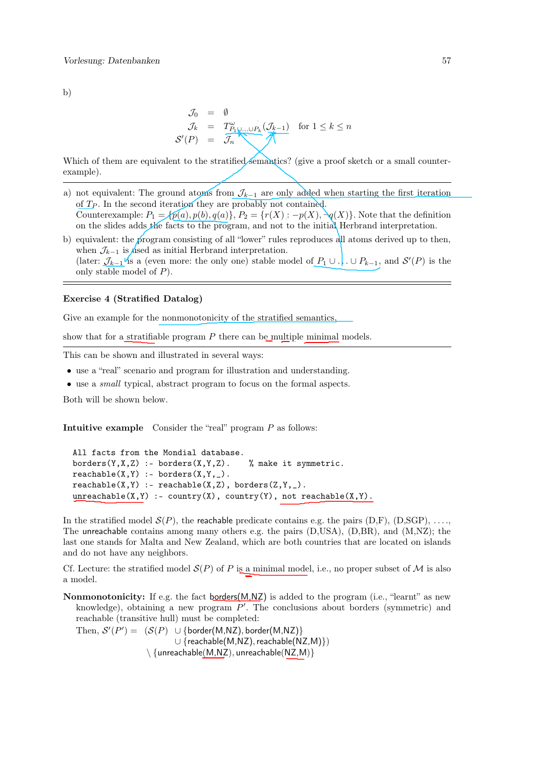b)

$$
\begin{array}{rcl}\n\mathcal{J}_0 & = & \emptyset \\
\mathcal{J}_k & = & T^{\omega}_{P_1 \cup \dots \cup P_k}(\mathcal{J}_{k-1}) \\
\mathcal{S}'(P) & = & \overbrace{\mathcal{J}_n}^{\omega} \\
\end{array}\n\quad \text{for } 1 \leq k \leq n
$$

Which of them are equivalent to the stratified semantics? (give a proof sketch or a small counterexample).

- a) not equivalent: The ground atoms from  $\mathcal{J}_{k-1}$  are only added when starting the first iteration of  $T_P$ . In the second iteration they are probably not contained. Counterexample:  $P_1 = \{p(a), p(b), q(a)\}\$ ,  $P_2 = \{r(X) : -p(X), \neg q(X)\}\$ . Note that the definition on the slides adds the facts to the program, and not to the initial Herbrand interpretation.
- b) equivalent: the program consisting of all "lower" rules reproduces all atoms derived up to then, when  $\mathcal{J}_{k-1}$  is divided as initial Herbrand interpretation. (later:  $\mathcal{J}_{k-1}$ <sup> $\mathcal{V}_{\text{IS}}$ </sup> a (even more: the only one) stable model of  $P_1 \cup \ldots \cup P_{k-1}$ , and  $\mathcal{S}'(P)$  is the only stable model of  $P$ ).

## Exercise 4 (Stratified Datalog)

Give an example for the nonmonotonicity of the stratified semantics,

show that for a stratifiable program  $P$  there can be multiple minimal models.

This can be shown and illustrated in several ways:

- use a "real" scenario and program for illustration and understanding.
- use a small typical, abstract program to focus on the formal aspects.

Both will be shown below.

Intuitive example Consider the "real" program P as follows:

```
All facts from the Mondial database.
borders(Y,X,Z) :- borders(X,Y,Z). % make it symmetric.
reachable(X, Y) :- borders(X, Y, ...).
reachable(X, Y) :- reachable(X, Z), borders(Z, Y, _).unreachable(X, Y) :- country(X), country(Y), not reachable(X, Y).
```
In the stratified model  $\mathcal{S}(P)$ , the reachable predicate contains e.g. the pairs (D,F), (D,SGP), ..., The unreachable contains among many others e.g. the pairs (D,USA), (D,BR), and (M,NZ); the last one stands for Malta and New Zealand, which are both countries that are located on islands and do not have any neighbors.

Cf. Lecture: the stratified model  $\mathcal{S}(P)$  of P is a minimal model, i.e., no proper subset of M is also a model.

Nonmonotonicity: If e.g. the fact borders $(M,NZ)$  is added to the program (i.e., "learnt" as new knowledge), obtaining a new program  $P'$ . The conclusions about borders (symmetric) and reachable (transitive hull) must be completed:

Then,  $\mathcal{S}'(P') = (\mathcal{S}(P) \cup \{\text{border}(M,NZ), \text{border}(M,NZ)\})$ ∪ {reachable(M,NZ), reachable(NZ,M)})  $\setminus$  {unreachable(M,NZ), unreachable(NZ,M)}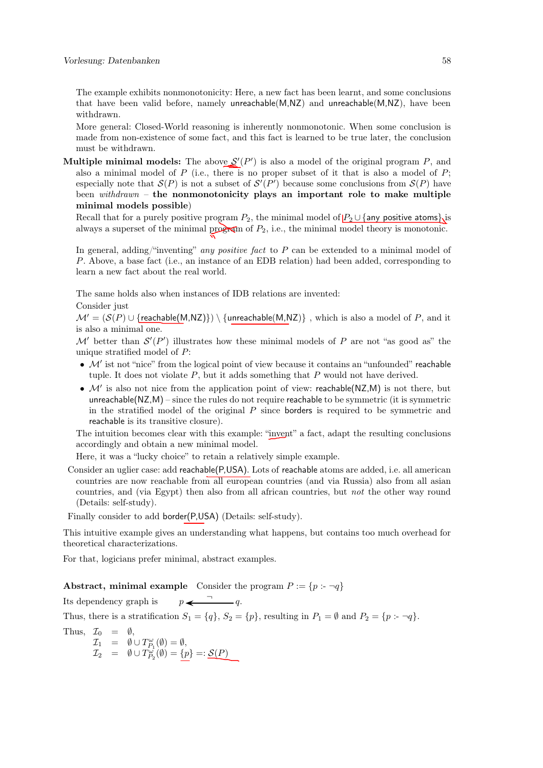The example exhibits nonmonotonicity: Here, a new fact has been learnt, and some conclusions that have been valid before, namely unreachable(M,NZ) and unreachable(M,NZ), have been withdrawn.

More general: Closed-World reasoning is inherently nonmonotonic. When some conclusion is made from non-existence of some fact, and this fact is learned to be true later, the conclusion must be withdrawn.

**Multiple minimal models:** The above  $S'(P')$  is also a model of the original program P, and also a minimal model of  $P$  (i.e., there is no proper subset of it that is also a model of  $P$ ; especially note that  $\mathcal{S}(P)$  is not a subset of  $\mathcal{S}'(P')$  because some conclusions from  $\mathcal{S}(P)$  have been withdrawn – the nonmonotonicity plays an important role to make multiple minimal models possible)

Recall that for a purely positive program  $P_2$ , the minimal model of  $P_2 \cup \{ \text{any positive atoms} \}$  is always a superset of the minimal program of  $P_2$ , i.e., the minimal model theory is monotonic.

In general, adding/"inventing" any positive fact to  $P$  can be extended to a minimal model of P. Above, a base fact (i.e., an instance of an EDB relation) had been added, corresponding to learn a new fact about the real world.

The same holds also when instances of IDB relations are invented:

Consider just

 $\mathcal{M}' = (\mathcal{S}(P) \cup \{\text{reachable}(M, NZ)\}) \setminus \{\text{unreachable}(M, NZ)\}$ , which is also a model of P, and it is also a minimal one.

M' better than  $\mathcal{S}'(P')$  illustrates how these minimal models of P are not "as good as" the unique stratified model of P:

- $\mathcal{M}'$  ist not "nice" from the logical point of view because it contains an "unfounded" reachable tuple. It does not violate  $P$ , but it adds something that  $P$  would not have derived.
- $\mathcal{M}'$  is also not nice from the application point of view: reachable(NZ,M) is not there, but unreachable( $NZ, M$ ) – since the rules do not require reachable to be symmetric (it is symmetric in the stratified model of the original  $P$  since borders is required to be symmetric and reachable is its transitive closure).

The intuition becomes clear with this example: "invent" a fact, adapt the resulting conclusions accordingly and obtain a new minimal model.

Here, it was a "lucky choice" to retain a relatively simple example.

Consider an uglier case: add reachable(P,USA). Lots of reachable atoms are added, i.e. all american countries are now reachable from all european countries (and via Russia) also from all asian countries, and (via Egypt) then also from all african countries, but not the other way round (Details: self-study).

Finally consider to add border(P,USA) (Details: self-study).

This intuitive example gives an understanding what happens, but contains too much overhead for theoretical characterizations.

For that, logicians prefer minimal, abstract examples.

Abstract, minimal example Consider the program  $P := \{p : \neg q\}$ 

Its dependency graph is  $p \leftarrow 7$  ... Thus, there is a stratification  $S_1 = \{q\}$ ,  $S_2 = \{p\}$ , resulting in  $P_1 = \emptyset$  and  $P_2 = \{p : \neg q\}$ . Thus,  $\mathcal{I}_0 = \emptyset$ ,  $\mathcal{I}_1 = \emptyset \cup T_{P_1}^{\omega}(\emptyset) = \emptyset,$  $\mathcal{I}_2 = \emptyset \cup T_{P_2}^{\omega}(\emptyset) = \{p\} =: \underline{\mathcal{S}(P)}$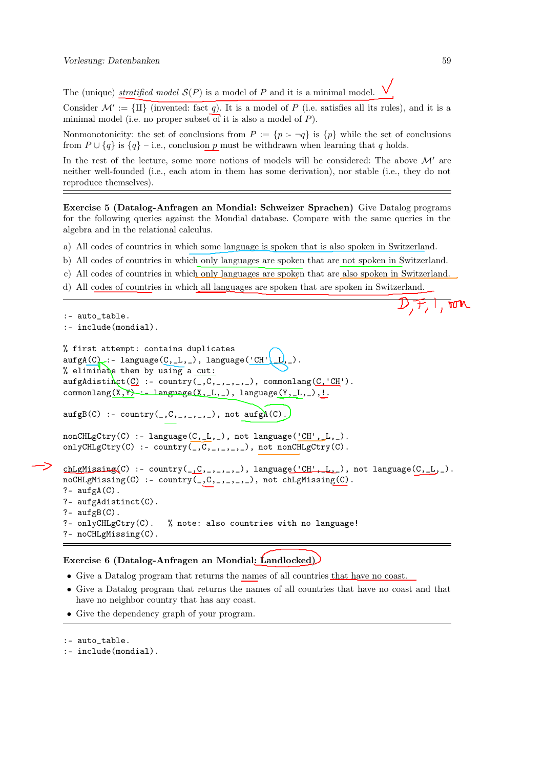The (unique) stratified model  $S(P)$  is a model of P and it is a minimal model.

Consider  $\mathcal{M}' := \{ \text{II} \}$  (invented: fact q). It is a model of P (i.e. satisfies all its rules), and it is a minimal model (i.e. no proper subset of it is also a model of  $P$ ).

Nonmonotonicity: the set of conclusions from  $P := \{p : \neg q\}$  is  $\{p\}$  while the set of conclusions from  $P \cup \{q\}$  is  $\{q\}$  – i.e., conclusion p must be withdrawn when learning that q holds.

In the rest of the lecture, some more notions of models will be considered: The above  $\mathcal{M}'$  are neither well-founded (i.e., each atom in them has some derivation), nor stable (i.e., they do not reproduce themselves).

Exercise 5 (Datalog-Anfragen an Mondial: Schweizer Sprachen) Give Datalog programs for the following queries against the Mondial database. Compare with the same queries in the algebra and in the relational calculus.

a) All codes of countries in which some language is spoken that is also spoken in Switzerland.

- b) All codes of countries in which only languages are spoken that are not spoken in Switzerland.
- c) All codes of countries in which only languages are spoken that are also spoken in Switzerland.
- d) All codes of countries in which all languages are spoken that are spoken in Switzerland.

```
\mathbb{L}, rom
:- auto_table.
:- include(mondial).
% first attempt: contains duplicates
\text{augA}(C): - language(C, L, L), language('CH', L, L, L).
% eliminate them by using a cut:
\text{aufgAdistin}(\underline{C}) :- country(_,C,_,_,_,_), commonlang(\underline{C}, 'CH').
commonlang(X, Y) :- language(X, L, L), language(Y, L, _), !.
\text{aufgB}(C) :- country(C, C, C, C, D, D), not \text{aufgA}(C).
nonCHLgCtry(C) :- language(C,_L,_), not language('CH',_L,_).
onlyCHLgCtry(C) :- country(C, C, C, C, D, D), not nonCHLgCtry(C).
chLgM issing(C) :- country(\_0C, \_1, \_2, \_3, \_1), language('CH', L_g), not language(C, \_1, \_2).
noCHLgMissing(C) :- country(,C,_,_,_,_), not chLgMissing(C).
?- \text{aufgA}(C).
?- aufgAdistinct(C).
?- \text{aufgB}(C).
?- onlyCHLgCtry(C). % note: also countries with no language!
?- noCHLgMissing(C).
```
Exercise 6 (Datalog-Anfragen an Mondial: Landlocked)

- Give a Datalog program that returns the names of all countries that have no coast.
- Give a Datalog program that returns the names of all countries that have no coast and that have no neighbor country that has any coast.
- Give the dependency graph of your program.

:- include(mondial).

<sup>:-</sup> auto table.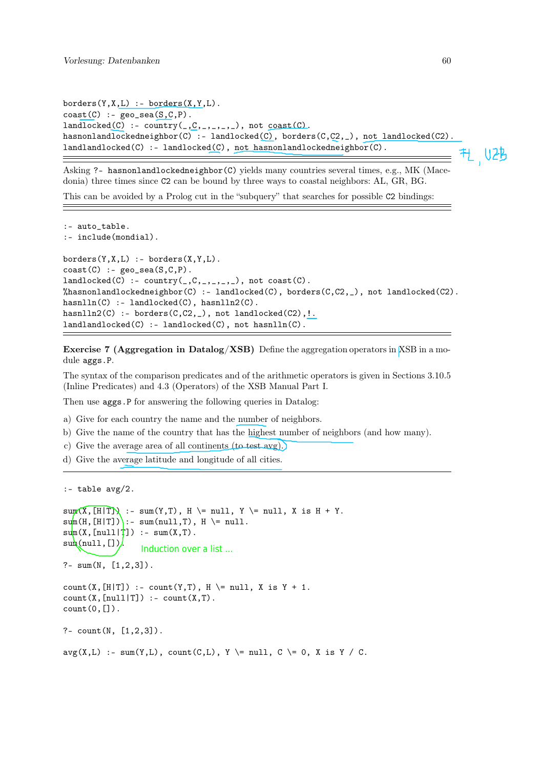```
borders(Y,X,L) :- borders(X,Y,L).\text{coast}(C) :- \text{geo\_sea}(S,C,P).
landlocked(C) :- country(C, C, ..., C,,,,,), not cost(C).
hasnonlandlockedneighbor(C) :- landlocked(C), borders(C,C2,_), not landlocked(C2).
landlandlocked(C) :- landlocked(C), not hasnonlandlockedneighbor(C).
```
H U2B

Asking ?- hasnonlandlockedneighbor(C) yields many countries several times, e.g., MK (Macedonia) three times since C2 can be bound by three ways to coastal neighbors: AL, GR, BG.

This can be avoided by a Prolog cut in the "subquery" that searches for possible C2 bindings:

```
:- auto_table.
:- include(mondial).
borders(Y,X,L) :- borders(X,Y,L).\text{coast}(C) :- \text{geo\_sea}(S,C,P).
landlocked(C) :- country(\_,C,\_,\_,\_,\_), not cost(C).
%hasnonlandlockedneighbor(C) :- landlocked(C), borders(C,C2,_), not landlocked(C2).
hashlin(C) :- landlocked(C), hashlin(CC).
hasnlln2(C) :- borders(C, C2, _), not landlocked(C2), !.
landllocked(C) :- landlocked(C), not hashlin(C).
```
Exercise 7 (Aggregation in Datalog/XSB) Define the aggregation operators in XSB in a module aggs.P.

The syntax of the comparison predicates and of the arithmetic operators is given in Sections 3.10.5 (Inline Predicates) and 4.3 (Operators) of the XSB Manual Part I.

Then use **aggs**. P for answering the following queries in Datalog:

a) Give for each country the name and the number of neighbors.

- b) Give the name of the country that has the highest number of neighbors (and how many).
- c) Give the average area of all continents (to test avg).
- d) Give the average latitude and longitude of all cities.

```
:- table avg/2.
```

```
\text{sum}(X, [H|T]) :- \text{sum}(Y, T), H \ge null, Y \ge null, X is H + Y.
\text{sum}(H, [H|T]) :- sum(null,T), H \ge null.
\text{sum}(X, \text{[null]}^\dagger) :- \text{sum}(X, T).
sum(null, [].
?- sum(N, [1, 2, 3]).
count(X, [H|T]) :- count(Y, T), H \ge null, X is Y + 1.
count(X, [null|T]) :- count(X,T).
count(0, []).?- count(N, [1, 2, 3]).
avg(X, L) :- sum(Y,L), count(C,L), Y \= null, C \= 0, X is Y / C.
                   Induction over a list ...
```